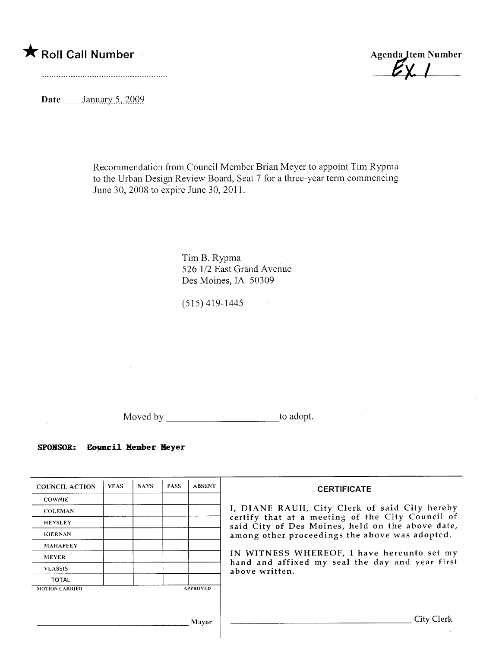$\bigstar$  Roll Call Number

**Agenda Item Number** 

Date \_\_\_\_\_\_\_January 5, 2009

Recommendation from Council Member Brian Meyer to appoint Tim Rypma to the Urban Design Review Board, Seat 7 for a three-year term commencing June 30, 2008 to expire June 30, 2011.

> Tim B. Rypma 526 1/2 East Grand Avenue Des Moines, IA 50309

(515) 419-1445

Moved by \_\_\_\_\_\_\_\_\_\_\_\_\_\_\_\_\_\_\_\_\_\_\_\_\_\_\_\_\_\_\_\_\_to adopt.

SPONSOR: Council Member Meyer

| <b>COUNCIL ACTION</b> | <b>YEAS</b> | <b>NAYS</b> | <b>PASS</b> | <b>ABSENT</b>   | <b>CERTIFICATE</b>                                                                                                                                                                                                                                                        |  |  |
|-----------------------|-------------|-------------|-------------|-----------------|---------------------------------------------------------------------------------------------------------------------------------------------------------------------------------------------------------------------------------------------------------------------------|--|--|
| <b>COWNIE</b>         |             |             |             |                 |                                                                                                                                                                                                                                                                           |  |  |
| <b>COLEMAN</b>        |             |             |             |                 | I, DIANE RAUH, City Clerk of said City hereby                                                                                                                                                                                                                             |  |  |
| <b>HENSLEY</b>        |             |             |             |                 | certify that at a meeting of the City Council of<br>said City of Des Moines, held on the above date,<br>among other proceedings the above was adopted.<br>IN WITNESS WHEREOF, I have hereunto set my<br>hand and affixed my seal the day and year first<br>above written. |  |  |
| <b>KIERNAN</b>        |             |             |             |                 |                                                                                                                                                                                                                                                                           |  |  |
| <b>MAHAFFEY</b>       |             |             |             |                 |                                                                                                                                                                                                                                                                           |  |  |
| <b>MEYER</b>          |             |             |             |                 |                                                                                                                                                                                                                                                                           |  |  |
| <b>VLASSIS</b>        |             |             |             |                 |                                                                                                                                                                                                                                                                           |  |  |
| <b>TOTAL</b>          |             |             |             |                 |                                                                                                                                                                                                                                                                           |  |  |
| <b>MOTION CARRIED</b> |             |             |             | <b>APPROVED</b> |                                                                                                                                                                                                                                                                           |  |  |
|                       |             |             |             |                 |                                                                                                                                                                                                                                                                           |  |  |
|                       |             |             |             | Mavor           | City Clerk                                                                                                                                                                                                                                                                |  |  |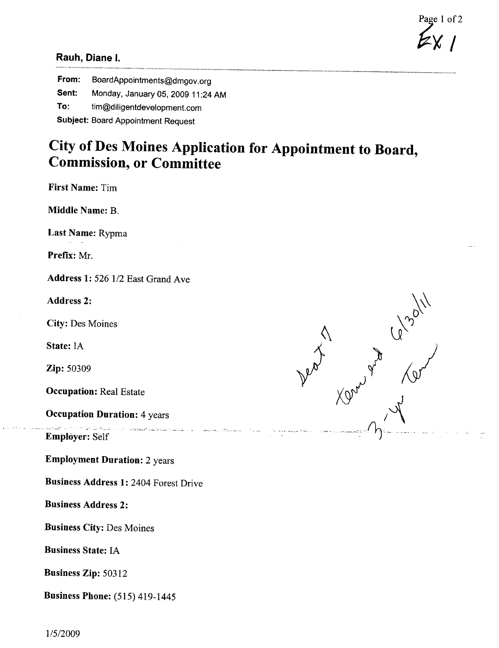Page 1 of 2

## Rauh, Diane i.

From: BoardAppointments@dmgov.org Sent: Monday, January 05, 2009 11 :24 AM To: tim@diligentdevelopment.com Subject: Board Appointment Request

## City of Des Moines Application for Appointment to Board, Commission, or Committee

First Name: Tim

Middle Name: B.

Last Name: Rypma

Prefix: Mr.

Address 1: 526 1/2 East Grand Ave

Address 2:

City: Des Moines

State: IA

Zip: 50309

Occupation: Real Estate

Occupation Duration: 4 years

Employer: Self

Employment Duration: 2 years

Business Address 1: 2404 Forest Drive

.\_,. .. -. ... - ,. \_. -. ~-'-- . -~. .. ..,-- . ....\_.\_-

Business Address 2:

Business City: Des Moines

Business State: IA

Business Zip: 50312

Business Phone: (515) 419-1445